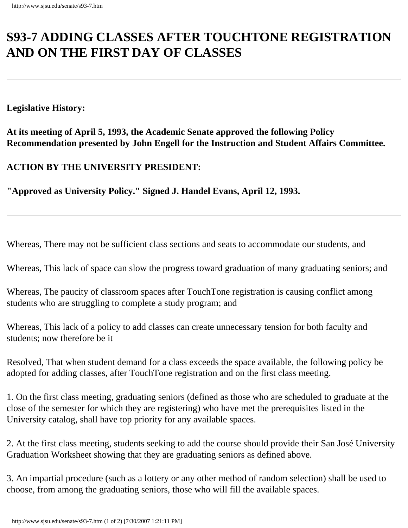## **S93-7 ADDING CLASSES AFTER TOUCHTONE REGISTRATION AND ON THE FIRST DAY OF CLASSES**

**Legislative History:**

## **Recommendation presented by John Engell for the Instruction and Student Affairs Committee. At its meeting of April 5, 1993, the Academic Senate approved the following Policy**

**ACTION BY THE UNIVERSITY PRESIDENT:**

**"Approved as University Policy." Signed J. Handel Evans, April 12, 1993.**

Whereas, There may not be sufficient class sections and seats to accommodate our students, and

Whereas, This lack of space can slow the progress toward graduation of many graduating seniors; and

Whereas, The paucity of classroom spaces after TouchTone registration is causing conflict among students who are struggling to complete a study program; and

Whereas, This lack of a policy to add classes can create unnecessary tension for both faculty and students; now therefore be it

Resolved, That when student demand for a class exceeds the space available, the following policy be adopted for adding classes, after TouchTone registration and on the first class meeting.

1. On the first class meeting, graduating seniors (defined as those who are scheduled to graduate at the close of the semester for which they are registering) who have met the prerequisites listed in the University catalog, shall have top priority for any available spaces.

2. At the first class meeting, students seeking to add the course should provide their San José University Graduation Worksheet showing that they are graduating seniors as defined above.

3. An impartial procedure (such as a lottery or any other method of random selection) shall be used to choose, from among the graduating seniors, those who will fill the available spaces.